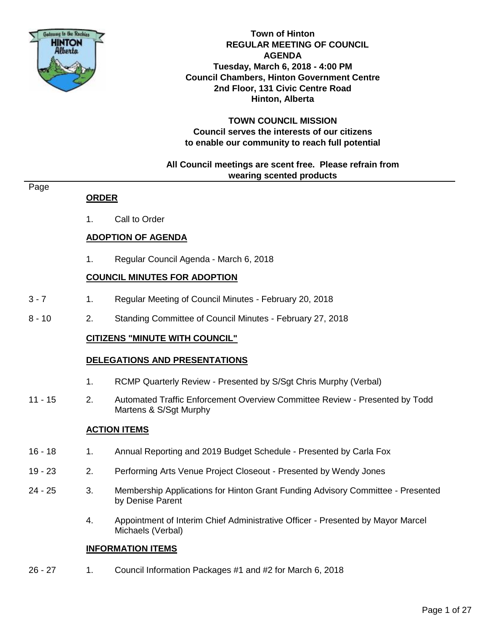

**Town of Hinton REGULAR MEETING OF COUNCIL AGENDA Tuesday, March 6, 2018 - 4:00 PM Council Chambers, Hinton Government Centre 2nd Floor, 131 Civic Centre Road Hinton, Alberta**

**TOWN COUNCIL MISSION Council serves the interests of our citizens to enable our community to reach full potential**

# **All Council meetings are scent free. Please refrain from wearing scented products**

# Page

- **ORDER**
- 1. Call to Order

#### **ADOPTION OF AGENDA**

1. Regular Council Agenda - March 6, 2018

#### **COUNCIL MINUTES FOR ADOPTION**

- 3 7 1. Regular Meeting of Council Minutes February 20, 2018
- 8 10 2. Standing Committee of Council Minutes February 27, 2018

#### **CITIZENS "MINUTE WITH COUNCIL"**

#### **DELEGATIONS AND PRESENTATIONS**

- 1. RCMP Quarterly Review Presented by S/Sgt Chris Murphy (Verbal)
- 11 15 2. Automated Traffic Enforcement Overview Committee Review Presented by Todd Martens & S/Sgt Murphy

#### **ACTION ITEMS**

- 16 18 1. Annual Reporting and 2019 Budget Schedule Presented by Carla Fox
- 19 23 2. Performing Arts Venue Project Closeout Presented by Wendy Jones
- 24 25 3. Membership Applications for Hinton Grant Funding Advisory Committee Presented by Denise Parent
	- 4. Appointment of Interim Chief Administrative Officer Presented by Mayor Marcel Michaels (Verbal)

#### **INFORMATION ITEMS**

26 - 27 1. Council Information Packages #1 and #2 for March 6, 2018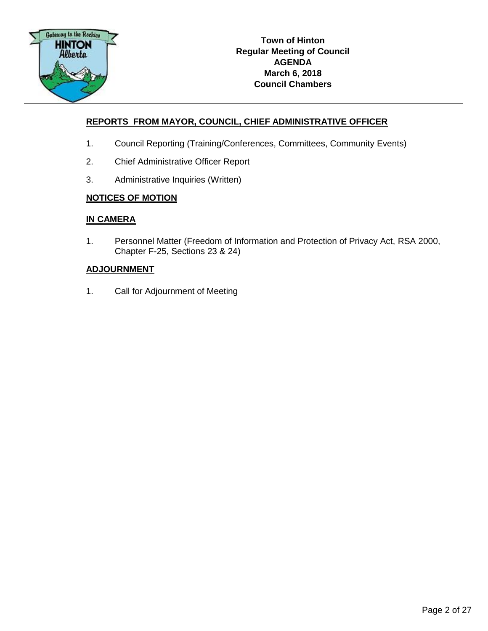

# **REPORTS FROM MAYOR, COUNCIL, CHIEF ADMINISTRATIVE OFFICER**

- 1. Council Reporting (Training/Conferences, Committees, Community Events)
- 2. Chief Administrative Officer Report
- 3. Administrative Inquiries (Written)

#### **NOTICES OF MOTION**

#### **IN CAMERA**

1. Personnel Matter (Freedom of Information and Protection of Privacy Act, RSA 2000, Chapter F-25, Sections 23 & 24)

## **ADJOURNMENT**

1. Call for Adjournment of Meeting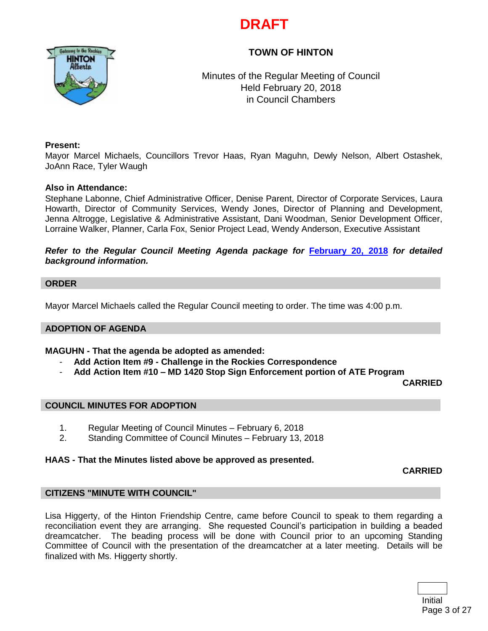

# **TOWN OF HINTON**



Minutes of the Regular Meeting of Council Held February 20, 2018 in Council Chambers

#### **Present:**

Mayor Marcel Michaels, Councillors Trevor Haas, Ryan Maguhn, Dewly Nelson, Albert Ostashek, JoAnn Race, Tyler Waugh

#### **Also in Attendance:**

Stephane Labonne, Chief Administrative Officer, Denise Parent, Director of Corporate Services, Laura Howarth, Director of Community Services, Wendy Jones, Director of Planning and Development, Jenna Altrogge, Legislative & Administrative Assistant, Dani Woodman, Senior Development Officer, Lorraine Walker, Planner, Carla Fox, Senior Project Lead, Wendy Anderson, Executive Assistant

#### *Refer to the Regular Council Meeting Agenda package for* **[February 20, 2018](https://www.hinton.ca/ArchiveCenter/ViewFile/Item/2289)** *for detailed background information.*

#### **ORDER**

Mayor Marcel Michaels called the Regular Council meeting to order. The time was 4:00 p.m.

#### **ADOPTION OF AGENDA**

#### **MAGUHN - That the agenda be adopted as amended:**

- **Add Action Item #9 - Challenge in the Rockies Correspondence**
- **Add Action Item #10 – MD 1420 Stop Sign Enforcement portion of ATE Program**

**CARRIED**

#### **COUNCIL MINUTES FOR ADOPTION**

- 1. Regular Meeting of Council Minutes February 6, 2018
- 2. Standing Committee of Council Minutes February 13, 2018

#### **HAAS - That the Minutes listed above be approved as presented.**

**CARRIED**

#### **CITIZENS "MINUTE WITH COUNCIL"**

Lisa Higgerty, of the Hinton Friendship Centre, came before Council to speak to them regarding a reconciliation event they are arranging. She requested Council's participation in building a beaded dreamcatcher. The beading process will be done with Council prior to an upcoming Standing Committee of Council with the presentation of the dreamcatcher at a later meeting. Details will be finalized with Ms. Higgerty shortly.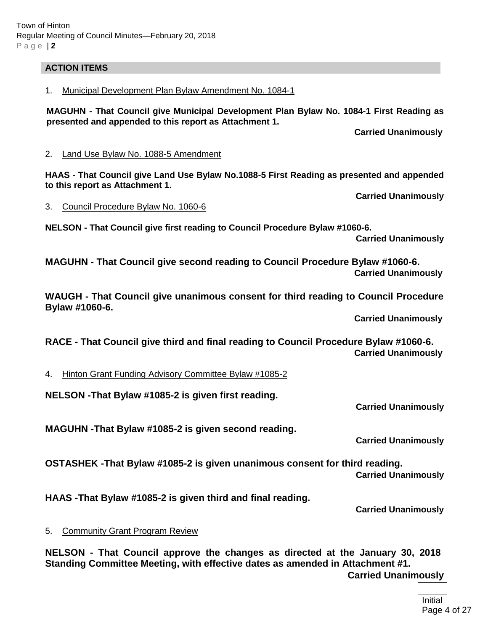# **ACTION ITEMS**

1. Municipal Development Plan Bylaw Amendment No. 1084-1

**MAGUHN - That Council give Municipal Development Plan Bylaw No. 1084-1 First Reading as presented and appended to this report as Attachment 1.**

**Carried Unanimously** 

2. Land Use Bylaw No. 1088-5 Amendment

**HAAS - That Council give Land Use Bylaw No.1088-5 First Reading as presented and appended to this report as Attachment 1.**

3. Council Procedure Bylaw No. 1060-6

**NELSON - That Council give first reading to Council Procedure Bylaw #1060-6.**

**Carried Unanimously**

**Carried Unanimously**

**MAGUHN - That Council give second reading to Council Procedure Bylaw #1060-6. Carried Unanimously**

**WAUGH - That Council give unanimous consent for third reading to Council Procedure Bylaw #1060-6.**

**Carried Unanimously**

**RACE - That Council give third and final reading to Council Procedure Bylaw #1060-6. Carried Unanimously**

4. Hinton Grant Funding Advisory Committee Bylaw #1085-2

**NELSON -That Bylaw #1085-2 is given first reading.**

**Carried Unanimously**

**MAGUHN -That Bylaw #1085-2 is given second reading.**

**Carried Unanimously** 

**OSTASHEK -That Bylaw #1085-2 is given unanimous consent for third reading.**

**Carried Unanimously**

**HAAS -That Bylaw #1085-2 is given third and final reading.**

**Carried Unanimously**

5. Community Grant Program Review

**NELSON - That Council approve the changes as directed at the January 30, 2018 Standing Committee Meeting, with effective dates as amended in Attachment #1. Carried Unanimously**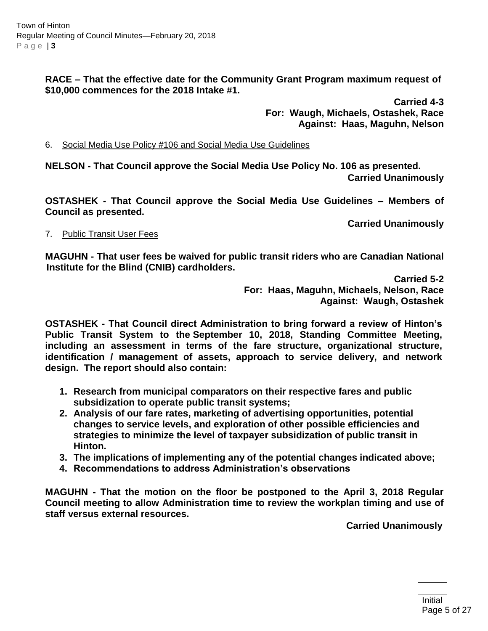**RACE – That the effective date for the Community Grant Program maximum request of \$10,000 commences for the 2018 Intake #1.**

> **Carried 4-3 For: Waugh, Michaels, Ostashek, Race Against: Haas, Maguhn, Nelson**

6. Social Media Use Policy #106 and Social Media Use Guidelines

**NELSON - That Council approve the Social Media Use Policy No. 106 as presented. Carried Unanimously**

**OSTASHEK - That Council approve the Social Media Use Guidelines – Members of Council as presented.**

**Carried Unanimously**

# 7. Public Transit User Fees

**MAGUHN - That user fees be waived for public transit riders who are Canadian National Institute for the Blind (CNIB) cardholders.**

> **Carried 5-2 For: Haas, Maguhn, Michaels, Nelson, Race Against: Waugh, Ostashek**

**OSTASHEK - That Council direct Administration to bring forward a review of Hinton's Public Transit System to the September 10, 2018, Standing Committee Meeting, including an assessment in terms of the fare structure, organizational structure, identification / management of assets, approach to service delivery, and network design. The report should also contain:**

- **1. Research from municipal comparators on their respective fares and public subsidization to operate public transit systems;**
- **2. Analysis of our fare rates, marketing of advertising opportunities, potential changes to service levels, and exploration of other possible efficiencies and strategies to minimize the level of taxpayer subsidization of public transit in Hinton.**
- **3. The implications of implementing any of the potential changes indicated above;**
- **4. Recommendations to address Administration's observations**

**MAGUHN - That the motion on the floor be postponed to the April 3, 2018 Regular Council meeting to allow Administration time to review the workplan timing and use of staff versus external resources.**

**Carried Unanimously**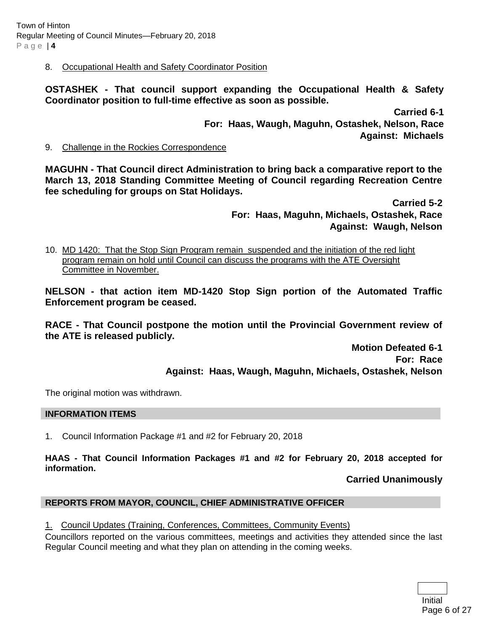8. Occupational Health and Safety Coordinator Position

**OSTASHEK - That council support expanding the Occupational Health & Safety Coordinator position to full-time effective as soon as possible.**

> **Carried 6-1 For: Haas, Waugh, Maguhn, Ostashek, Nelson, Race Against: Michaels**

9. Challenge in the Rockies Correspondence

**MAGUHN - That Council direct Administration to bring back a comparative report to the March 13, 2018 Standing Committee Meeting of Council regarding Recreation Centre fee scheduling for groups on Stat Holidays.**

> **Carried 5-2 For: Haas, Maguhn, Michaels, Ostashek, Race Against: Waugh, Nelson**

10. MD 1420: That the Stop Sign Program remain suspended and the initiation of the red light program remain on hold until Council can discuss the programs with the ATE Oversight Committee in November.

**NELSON - that action item MD-1420 Stop Sign portion of the Automated Traffic Enforcement program be ceased.**

**RACE - That Council postpone the motion until the Provincial Government review of the ATE is released publicly.**

> **Motion Defeated 6-1 For: Race Against: Haas, Waugh, Maguhn, Michaels, Ostashek, Nelson**

The original motion was withdrawn.

### **INFORMATION ITEMS**

1. Council Information Package #1 and #2 for February 20, 2018

**HAAS - That Council Information Packages #1 and #2 for February 20, 2018 accepted for information.**

**Carried Unanimously**

#### **REPORTS FROM MAYOR, COUNCIL, CHIEF ADMINISTRATIVE OFFICER**

1. Council Updates (Training, Conferences, Committees, Community Events)

Councillors reported on the various committees, meetings and activities they attended since the last Regular Council meeting and what they plan on attending in the coming weeks.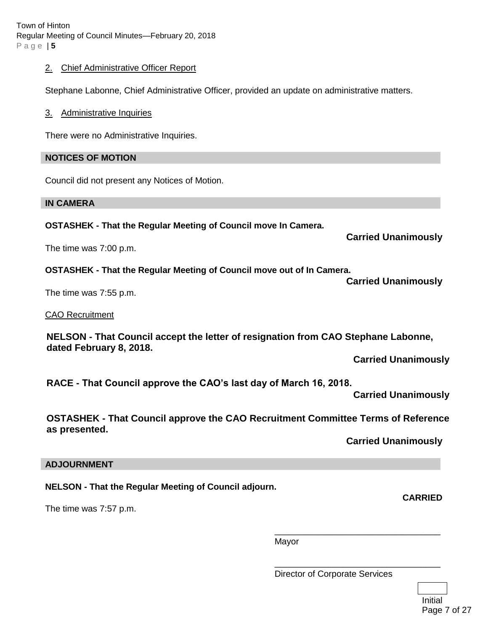Town of Hinton Regular Meeting of Council Minutes—February 20, 2018 P a g e | **5**

#### 2. Chief Administrative Officer Report

Stephane Labonne, Chief Administrative Officer, provided an update on administrative matters.

3. Administrative Inquiries

There were no Administrative Inquiries.

#### **NOTICES OF MOTION**

Council did not present any Notices of Motion.

#### **IN CAMERA**

**OSTASHEK - That the Regular Meeting of Council move In Camera.**

The time was 7:00 p.m.

**OSTASHEK - That the Regular Meeting of Council move out of In Camera.**

**Carried Unanimously**

**Carried Unanimously**

The time was 7:55 p.m.

#### CAO Recruitment

**NELSON - That Council accept the letter of resignation from CAO Stephane Labonne, dated February 8, 2018.**

**Carried Unanimously**

**RACE - That Council approve the CAO's last day of March 16, 2018.**

**Carried Unanimously**

**OSTASHEK - That Council approve the CAO Recruitment Committee Terms of Reference as presented.**

**Carried Unanimously**

**CARRIED**

#### **ADJOURNMENT**

**NELSON - That the Regular Meeting of Council adjourn.**

The time was 7:57 p.m.

Mayor

Director of Corporate Services

\_\_\_\_\_\_\_\_\_\_\_\_\_\_\_\_\_\_\_\_\_\_\_\_\_\_\_\_\_\_\_\_\_\_

\_\_\_\_\_\_\_\_\_\_\_\_\_\_\_\_\_\_\_\_\_\_\_\_\_\_\_\_\_\_\_\_\_\_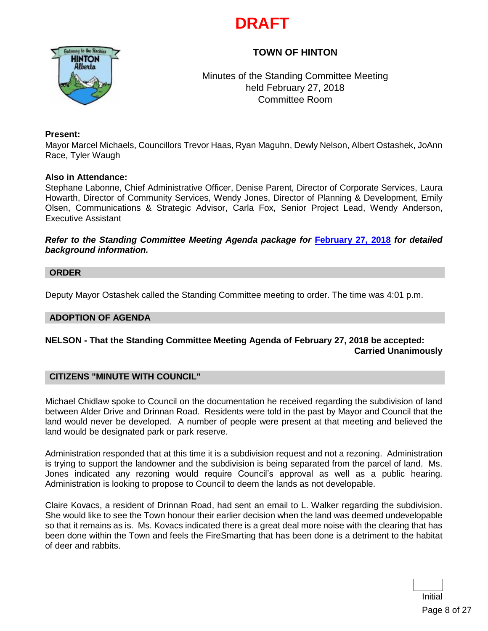



# **TOWN OF HINTON**

Minutes of the Standing Committee Meeting held February 27, 2018 Committee Room

#### **Present:**

Mayor Marcel Michaels, Councillors Trevor Haas, Ryan Maguhn, Dewly Nelson, Albert Ostashek, JoAnn Race, Tyler Waugh

#### **Also in Attendance:**

Stephane Labonne, Chief Administrative Officer, Denise Parent, Director of Corporate Services, Laura Howarth, Director of Community Services, Wendy Jones, Director of Planning & Development, Emily Olsen, Communications & Strategic Advisor, Carla Fox, Senior Project Lead, Wendy Anderson, Executive Assistant

*Refer to the Standing Committee Meeting Agenda package for* **[February 27, 2018](https://www.hinton.ca/ArchiveCenter/ViewFile/Item/2292)** *for detailed background information.*

#### **ORDER**

Deputy Mayor Ostashek called the Standing Committee meeting to order. The time was 4:01 p.m.

#### **ADOPTION OF AGENDA**

# **NELSON - That the Standing Committee Meeting Agenda of February 27, 2018 be accepted: Carried Unanimously**

#### **CITIZENS "MINUTE WITH COUNCIL"**

Michael Chidlaw spoke to Council on the documentation he received regarding the subdivision of land between Alder Drive and Drinnan Road. Residents were told in the past by Mayor and Council that the land would never be developed. A number of people were present at that meeting and believed the land would be designated park or park reserve.

Administration responded that at this time it is a subdivision request and not a rezoning. Administration is trying to support the landowner and the subdivision is being separated from the parcel of land. Ms. Jones indicated any rezoning would require Council's approval as well as a public hearing. Administration is looking to propose to Council to deem the lands as not developable.

Claire Kovacs, a resident of Drinnan Road, had sent an email to L. Walker regarding the subdivision. She would like to see the Town honour their earlier decision when the land was deemed undevelopable so that it remains as is. Ms. Kovacs indicated there is a great deal more noise with the clearing that has been done within the Town and feels the FireSmarting that has been done is a detriment to the habitat of deer and rabbits.

> Initial Page 8 of 27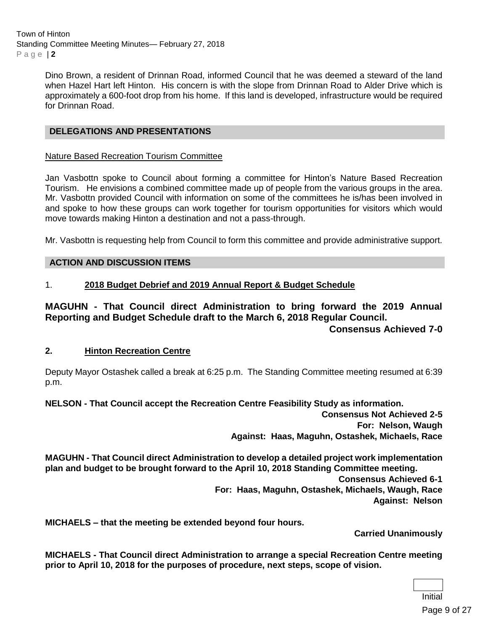Town of Hinton Standing Committee Meeting Minutes— February 27, 2018 P a g e | **2**

> Dino Brown, a resident of Drinnan Road, informed Council that he was deemed a steward of the land when Hazel Hart left Hinton. His concern is with the slope from Drinnan Road to Alder Drive which is approximately a 600-foot drop from his home. If this land is developed, infrastructure would be required for Drinnan Road.

#### **DELEGATIONS AND PRESENTATIONS**

#### Nature Based Recreation Tourism Committee

Jan Vasbottn spoke to Council about forming a committee for Hinton's Nature Based Recreation Tourism. He envisions a combined committee made up of people from the various groups in the area. Mr. Vasbottn provided Council with information on some of the committees he is/has been involved in and spoke to how these groups can work together for tourism opportunities for visitors which would move towards making Hinton a destination and not a pass-through.

Mr. Vasbottn is requesting help from Council to form this committee and provide administrative support.

#### **ACTION AND DISCUSSION ITEMS**

#### 1. **2018 Budget Debrief and 2019 Annual Report & Budget Schedule**

# **MAGUHN - That Council direct Administration to bring forward the 2019 Annual Reporting and Budget Schedule draft to the March 6, 2018 Regular Council.**

#### **Consensus Achieved 7-0**

#### **2. Hinton Recreation Centre**

Deputy Mayor Ostashek called a break at 6:25 p.m. The Standing Committee meeting resumed at 6:39 p.m.

**NELSON - That Council accept the Recreation Centre Feasibility Study as information.** 

**Consensus Not Achieved 2-5 For: Nelson, Waugh Against: Haas, Maguhn, Ostashek, Michaels, Race**

**MAGUHN - That Council direct Administration to develop a detailed project work implementation plan and budget to be brought forward to the April 10, 2018 Standing Committee meeting.**

**Consensus Achieved 6-1 For: Haas, Maguhn, Ostashek, Michaels, Waugh, Race Against: Nelson**

**MICHAELS – that the meeting be extended beyond four hours.**

**Carried Unanimously**

**MICHAELS - That Council direct Administration to arrange a special Recreation Centre meeting prior to April 10, 2018 for the purposes of procedure, next steps, scope of vision.**

Initial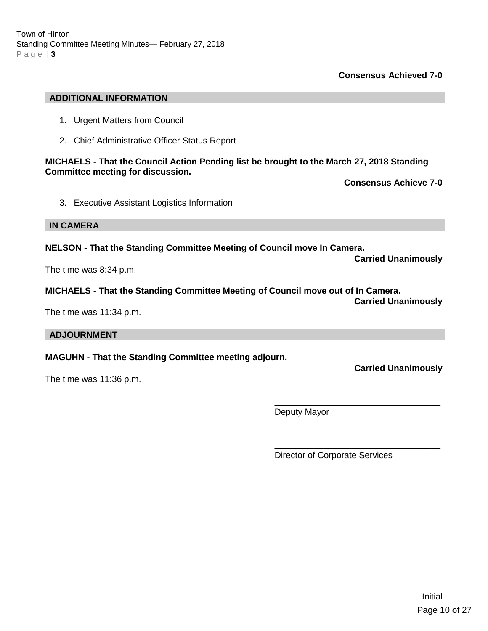**Consensus Achieved 7-0**

#### **ADDITIONAL INFORMATION**

- 1. Urgent Matters from Council
- 2. Chief Administrative Officer Status Report

#### **MICHAELS - That the Council Action Pending list be brought to the March 27, 2018 Standing Committee meeting for discussion.**

**Consensus Achieve 7-0**

3. Executive Assistant Logistics Information

### **IN CAMERA**

**NELSON - That the Standing Committee Meeting of Council move In Camera.**

The time was 8:34 p.m.

**MICHAELS - That the Standing Committee Meeting of Council move out of In Camera.**

The time was 11:34 p.m.

#### **ADJOURNMENT**

**MAGUHN - That the Standing Committee meeting adjourn.**

The time was 11:36 p.m.

Deputy Mayor

Director of Corporate Services

\_\_\_\_\_\_\_\_\_\_\_\_\_\_\_\_\_\_\_\_\_\_\_\_\_\_\_\_\_\_\_\_\_\_

\_\_\_\_\_\_\_\_\_\_\_\_\_\_\_\_\_\_\_\_\_\_\_\_\_\_\_\_\_\_\_\_\_\_



**Carried Unanimously**

**Carried Unanimously**

**Carried Unanimously**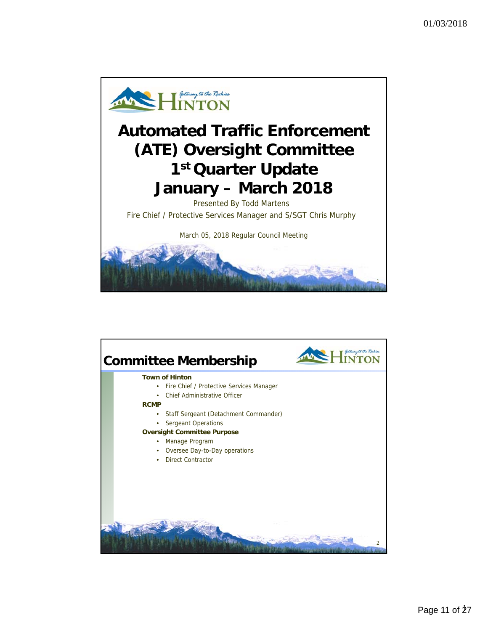

# **Automated Traffic Enforcement (ATE) Oversight Committee 1st Quarter Update January – March 2018**

Presented By Todd Martens Fire Chief / Protective Services Manager and S/SGT Chris Murphy

March 05, 2018 Regular Council Meeting



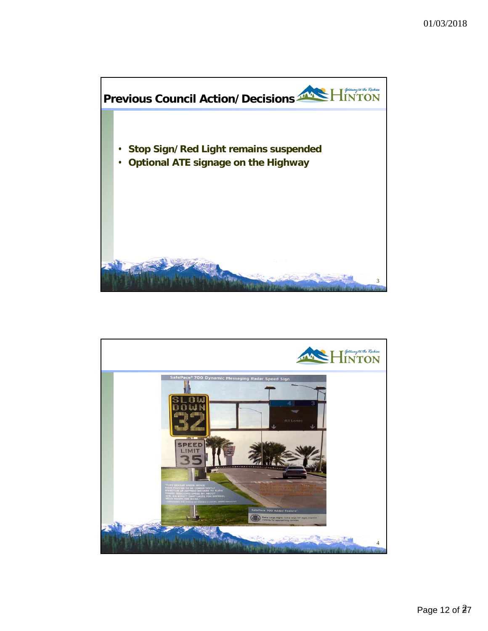

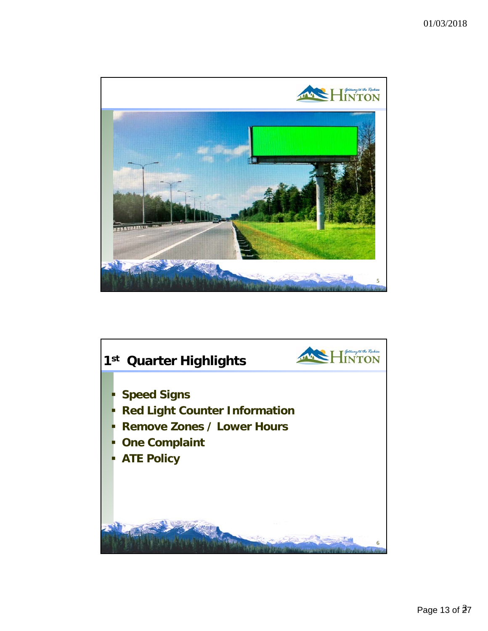

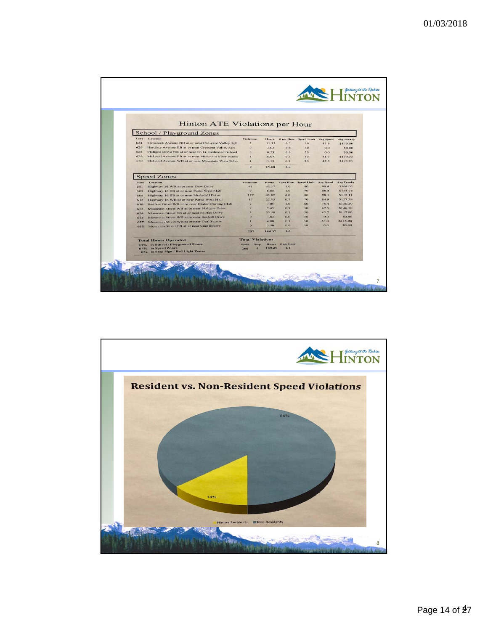|      | Hinton ATE Violations per Hour                    |                            |               |                   |                                  |             |                    |
|------|---------------------------------------------------|----------------------------|---------------|-------------------|----------------------------------|-------------|--------------------|
|      | School / Playground Zones                         |                            |               |                   |                                  |             |                    |
| Zone | Location                                          | <b>Violations</b>          | <b>Hours</b>  |                   | # per Hour Speed Limit Avg Speed |             | Avg Penalty        |
| 624  | Tamarack Avenue NB at or near Crescent Valley Sch | $\overline{a}$             | 11.33         | 0.2               | 30                               | 41.5        | \$110.00           |
| 626  | Hardisty Avenue EB at or near Crescent Valley Sch | $\Omega$                   | 2.02          | 0.0               | 30                               | 0.0         | \$0.00             |
| 628  | Maligne Drive NB at or near Fr. G. Redmond School | $\Omega$                   | 0.53          | 0,0               | 30                               | 0,0         | \$0.00             |
| 629  | McLeod Avenue EB at or near Mountain View School  | 3                          | 6.07          | 0.5               | 30                               | 41.7        | \$110.33           |
| 630  | McLeod Avenue WB at or near Mountain View Scho.   | A                          | 5.13          | 0.8               | 30                               | 42.5        | \$113.25           |
|      |                                                   | 9                          | 25.08         | 0.4               |                                  |             |                    |
|      | <b>Speed Zones</b>                                |                            |               |                   |                                  |             |                    |
| Zone | Location                                          | <b>Violations</b>          | <b>Hours</b>  |                   | # per Hour Speed Limit Avg Speed |             | <b>Avg Penalty</b> |
| 601  | Highway 16 WB at or near Dow Drive                | 41                         | 42.37         | 1.0               | 80                               | 99.4        | \$164.05           |
| 603  | Highway 16 EB at or near Parks West Mall          | $\mathbf{Q}$               | 8.80          | 1.0               | 70                               | 88.4        | \$154.78           |
| 605  | Highway 16 EB at or near McArdell Drive           | 177                        | 43.82         | 4.0               | 80                               | 98.1        | \$152.11           |
| 612  | Highway 16 WB at or near Parks West Mall          | 17                         | 22.85         | 0.7               | 70                               | 84.9        | \$127.59           |
| 619  | Switzer Drive WB at or near Hinton Curling Club   | $\overline{z}$             | 7.05          | 1.0               | 60                               | 75.4        | \$130.29           |
| 633  | Mountain Street WB at or near Maligne Drive       | 2                          | 7.45          | 0.3               | 50                               | 67.5        | \$146,50           |
| 634  | Mountain Street EB at or near Fairfax Drive       | $\overline{3}$             | 23.50<br>1.03 | O.1<br>O.O        | 50<br>50                         | 63.7<br>0.0 | \$117.00<br>\$0.00 |
| 635  | Mountain Street WB at or near Seabolt Drive       | $\circ$                    | 4.00          | 0.3               | 50                               | 63.0        | \$115.00           |
| 637  | Mountain Street WB at or near Ceal Square         | $\Omega$                   | 3.50          | 0.0               | 50                               | 0.0         | \$0.00             |
| 638  | Mountain Street EB at or near Ceal Square         | 257                        | 164.37        | 1.6               |                                  |             |                    |
|      | <b>Total Hours Operated</b>                       | <b>Total Violations</b>    |               |                   |                                  |             |                    |
|      | 13% in School / Playground Zones                  | <b>Speed</b><br>Ston       | Hours.        | <b># per Hour</b> |                                  |             |                    |
|      | 87% in Speed Zones                                | $\ddot{\mathbf{o}}$<br>266 | 189.45        | 1.4               |                                  |             |                    |
|      | 0% in Stop Sign / Red Light Zones                 |                            |               |                   |                                  |             |                    |

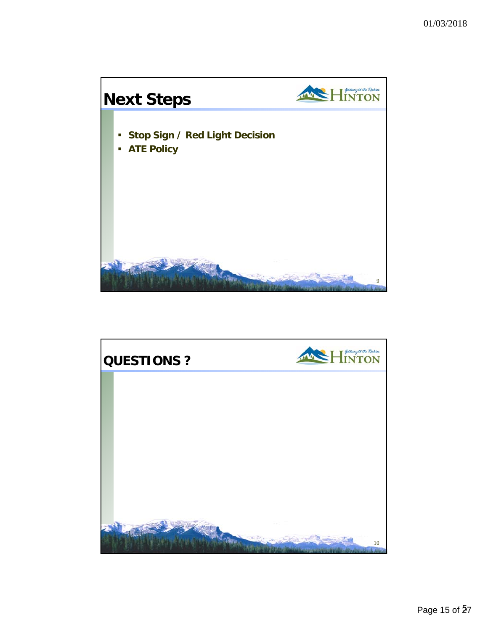

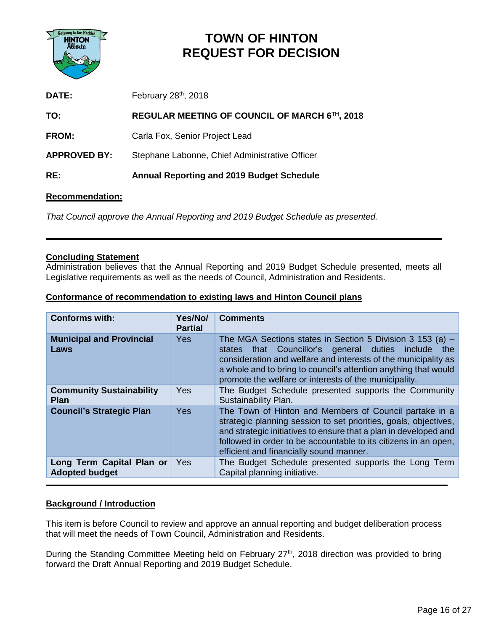

# **TOWN OF HINTON REQUEST FOR DECISION**

| <b>DATE:</b>        | February 28th, 2018                              |
|---------------------|--------------------------------------------------|
| TO:                 | REGULAR MEETING OF COUNCIL OF MARCH 6TH, 2018    |
| FROM:               | Carla Fox, Senior Project Lead                   |
| <b>APPROVED BY:</b> | Stephane Labonne, Chief Administrative Officer   |
| RE:                 | <b>Annual Reporting and 2019 Budget Schedule</b> |
|                     |                                                  |

#### **Recommendation:**

*That Council approve the Annual Reporting and 2019 Budget Schedule as presented.*

#### **Concluding Statement**

Administration believes that the Annual Reporting and 2019 Budget Schedule presented, meets all Legislative requirements as well as the needs of Council, Administration and Residents.

#### **Conformance of recommendation to existing laws and Hinton Council plans**

| <b>Conforms with:</b>                              | Yes/No/<br><b>Partial</b> | <b>Comments</b>                                                                                                                                                                                                                                                                                                        |
|----------------------------------------------------|---------------------------|------------------------------------------------------------------------------------------------------------------------------------------------------------------------------------------------------------------------------------------------------------------------------------------------------------------------|
| <b>Municipal and Provincial</b><br>Laws            | <b>Yes</b>                | The MGA Sections states in Section 5 Division 3 153 (a) $-$<br>that Councillor's general duties include<br>the<br>states<br>consideration and welfare and interests of the municipality as<br>a whole and to bring to council's attention anything that would<br>promote the welfare or interests of the municipality. |
| <b>Community Sustainability</b><br><b>Plan</b>     | Yes                       | The Budget Schedule presented supports the Community<br>Sustainability Plan.                                                                                                                                                                                                                                           |
| <b>Council's Strategic Plan</b>                    | Yes                       | The Town of Hinton and Members of Council partake in a<br>strategic planning session to set priorities, goals, objectives,<br>and strategic initiatives to ensure that a plan in developed and<br>followed in order to be accountable to its citizens in an open,<br>efficient and financially sound manner.           |
| Long Term Capital Plan or<br><b>Adopted budget</b> | Yes                       | The Budget Schedule presented supports the Long Term<br>Capital planning initiative.                                                                                                                                                                                                                                   |

#### **Background / Introduction**

This item is before Council to review and approve an annual reporting and budget deliberation process that will meet the needs of Town Council, Administration and Residents.

During the Standing Committee Meeting held on February 27<sup>th</sup>, 2018 direction was provided to bring forward the Draft Annual Reporting and 2019 Budget Schedule.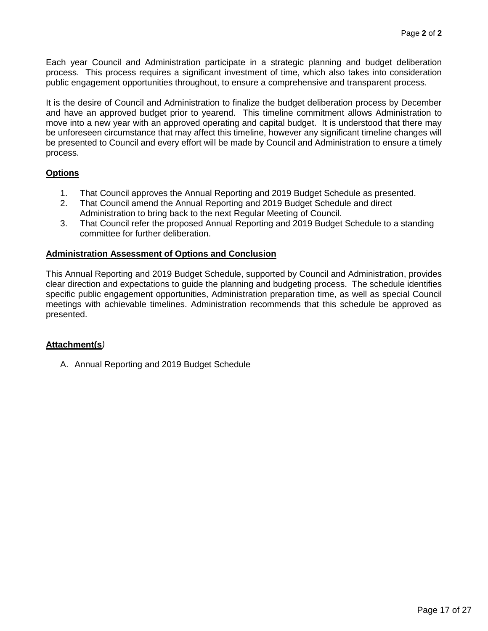Each year Council and Administration participate in a strategic planning and budget deliberation process. This process requires a significant investment of time, which also takes into consideration public engagement opportunities throughout, to ensure a comprehensive and transparent process.

It is the desire of Council and Administration to finalize the budget deliberation process by December and have an approved budget prior to yearend. This timeline commitment allows Administration to move into a new year with an approved operating and capital budget. It is understood that there may be unforeseen circumstance that may affect this timeline, however any significant timeline changes will be presented to Council and every effort will be made by Council and Administration to ensure a timely process.

## **Options**

- 1. That Council approves the Annual Reporting and 2019 Budget Schedule as presented.
- 2. That Council amend the Annual Reporting and 2019 Budget Schedule and direct Administration to bring back to the next Regular Meeting of Council.
- 3. That Council refer the proposed Annual Reporting and 2019 Budget Schedule to a standing committee for further deliberation.

#### **Administration Assessment of Options and Conclusion**

This Annual Reporting and 2019 Budget Schedule, supported by Council and Administration, provides clear direction and expectations to guide the planning and budgeting process. The schedule identifies specific public engagement opportunities, Administration preparation time, as well as special Council meetings with achievable timelines. Administration recommends that this schedule be approved as presented.

#### **Attachment(s***)*

A. Annual Reporting and 2019 Budget Schedule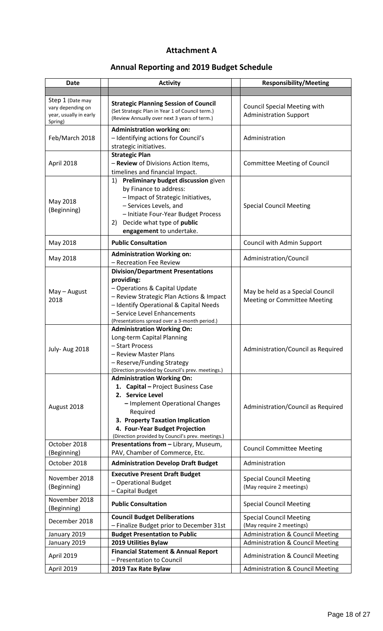# **Attachment A**

# **Annual Reporting and 2019 Budget Schedule**

| <b>Date</b>                                                                | <b>Activity</b>                                                                                                                                                                                                                                                       | <b>Responsibility/Meeting</b>                                           |
|----------------------------------------------------------------------------|-----------------------------------------------------------------------------------------------------------------------------------------------------------------------------------------------------------------------------------------------------------------------|-------------------------------------------------------------------------|
|                                                                            |                                                                                                                                                                                                                                                                       |                                                                         |
| Step 1 (Date may<br>vary depending on<br>year, usually in early<br>Spring) | <b>Strategic Planning Session of Council</b><br>(Set Strategic Plan in Year 1 of Council term.)<br>(Review Annually over next 3 years of term.)                                                                                                                       | <b>Council Special Meeting with</b><br><b>Administration Support</b>    |
| Feb/March 2018                                                             | <b>Administration working on:</b><br>- Identifying actions for Council's<br>strategic initiatives.                                                                                                                                                                    | Administration                                                          |
| April 2018                                                                 | <b>Strategic Plan</b><br>- Review of Divisions Action Items,<br>timelines and financial Impact.                                                                                                                                                                       | <b>Committee Meeting of Council</b>                                     |
| May 2018<br>(Beginning)                                                    | Preliminary budget discussion given<br>1)<br>by Finance to address:<br>- Impact of Strategic Initiatives,<br>- Services Levels, and<br>- Initiate Four-Year Budget Process<br>Decide what type of public<br>2)<br>engagement to undertake.                            | <b>Special Council Meeting</b>                                          |
| May 2018                                                                   | <b>Public Consultation</b>                                                                                                                                                                                                                                            | Council with Admin Support                                              |
| May 2018                                                                   | <b>Administration Working on:</b><br>- Recreation Fee Review                                                                                                                                                                                                          | Administration/Council                                                  |
| $May - August$<br>2018                                                     | <b>Division/Department Presentations</b><br>providing:<br>- Operations & Capital Update<br>- Review Strategic Plan Actions & Impact<br>- Identify Operational & Capital Needs<br>- Service Level Enhancements<br>(Presentations spread over a 3-month period.)        | May be held as a Special Council<br><b>Meeting or Committee Meeting</b> |
| July-Aug 2018                                                              | <b>Administration Working On:</b><br>Long-term Capital Planning<br>- Start Process<br>- Review Master Plans<br>- Reserve/Funding Strategy<br>(Direction provided by Council's prev. meetings.)                                                                        | Administration/Council as Required                                      |
| August 2018                                                                | <b>Administration Working On:</b><br>1. Capital - Project Business Case<br>2. Service Level<br>- Implement Operational Changes<br>Required<br>3. Property Taxation Implication<br>4. Four-Year Budget Projection<br>(Direction provided by Council's prev. meetings.) | Administration/Council as Required                                      |
| October 2018<br>(Beginning)                                                | Presentations from - Library, Museum,<br>PAV, Chamber of Commerce, Etc.                                                                                                                                                                                               | <b>Council Committee Meeting</b>                                        |
| October 2018                                                               | <b>Administration Develop Draft Budget</b>                                                                                                                                                                                                                            | Administration                                                          |
| November 2018<br>(Beginning)                                               | <b>Executive Present Draft Budget</b><br>- Operational Budget<br>- Capital Budget                                                                                                                                                                                     | <b>Special Council Meeting</b><br>(May require 2 meetings)              |
| November 2018<br>(Beginning)                                               | <b>Public Consultation</b>                                                                                                                                                                                                                                            | <b>Special Council Meeting</b>                                          |
| December 2018                                                              | <b>Council Budget Deliberations</b><br>- Finalize Budget prior to December 31st                                                                                                                                                                                       | <b>Special Council Meeting</b><br>(May require 2 meetings)              |
| January 2019                                                               | <b>Budget Presentation to Public</b>                                                                                                                                                                                                                                  | <b>Administration &amp; Council Meeting</b>                             |
| January 2019                                                               | 2019 Utilities Bylaw                                                                                                                                                                                                                                                  | <b>Administration &amp; Council Meeting</b>                             |
| April 2019                                                                 | <b>Financial Statement &amp; Annual Report</b><br>- Presentation to Council                                                                                                                                                                                           | <b>Administration &amp; Council Meeting</b>                             |
| April 2019                                                                 | 2019 Tax Rate Bylaw                                                                                                                                                                                                                                                   | <b>Administration &amp; Council Meeting</b>                             |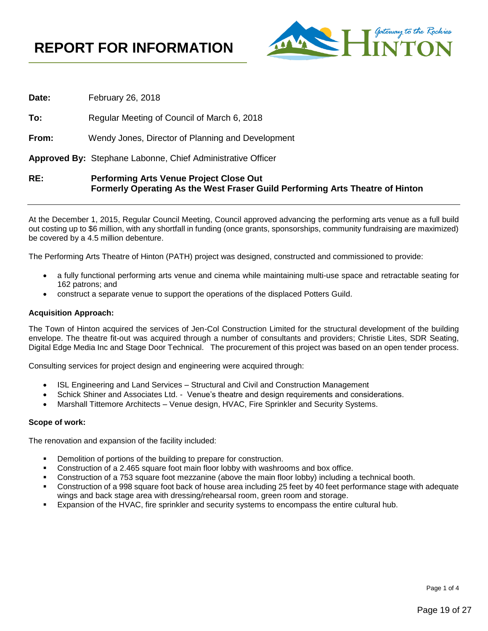

**Date:** February 26, 2018 **To:** Regular Meeting of Council of March 6, 2018 **From:** Wendy Jones, Director of Planning and Development **Approved By:** Stephane Labonne, Chief Administrative Officer **RE: Performing Arts Venue Project Close Out Formerly Operating As the West Fraser Guild Performing Arts Theatre of Hinton**

At the December 1, 2015, Regular Council Meeting, Council approved advancing the performing arts venue as a full build out costing up to \$6 million, with any shortfall in funding (once grants, sponsorships, community fundraising are maximized) be covered by a 4.5 million debenture.

The Performing Arts Theatre of Hinton (PATH) project was designed, constructed and commissioned to provide:

- a fully functional performing arts venue and cinema while maintaining multi-use space and retractable seating for 162 patrons; and
- construct a separate venue to support the operations of the displaced Potters Guild.

#### **Acquisition Approach:**

The Town of Hinton acquired the services of Jen-Col Construction Limited for the structural development of the building envelope. The theatre fit-out was acquired through a number of consultants and providers; Christie Lites, SDR Seating, Digital Edge Media Inc and Stage Door Technical. The procurement of this project was based on an open tender process.

Consulting services for project design and engineering were acquired through:

- ISL Engineering and Land Services Structural and Civil and Construction Management
- Schick Shiner and Associates Ltd. Venue's theatre and design requirements and considerations.
- Marshall Tittemore Architects Venue design, HVAC, Fire Sprinkler and Security Systems.

#### **Scope of work:**

The renovation and expansion of the facility included:

- Demolition of portions of the building to prepare for construction.
- Construction of a 2.465 square foot main floor lobby with washrooms and box office.
- Construction of a 753 square foot mezzanine (above the main floor lobby) including a technical booth.
- Construction of a 998 square foot back of house area including 25 feet by 40 feet performance stage with adequate wings and back stage area with dressing/rehearsal room, green room and storage.
- Expansion of the HVAC, fire sprinkler and security systems to encompass the entire cultural hub.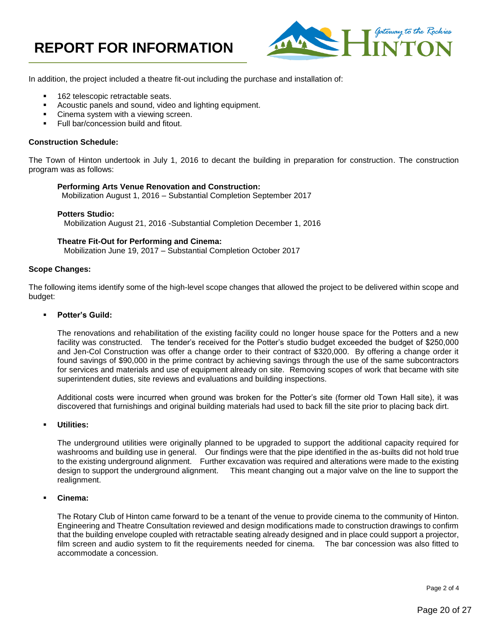# **REPORT FOR INFORMATION**



In addition, the project included a theatre fit-out including the purchase and installation of:

- 162 telescopic retractable seats.
- Acoustic panels and sound, video and lighting equipment.
- Cinema system with a viewing screen.
- Full bar/concession build and fitout.

#### **Construction Schedule:**

The Town of Hinton undertook in July 1, 2016 to decant the building in preparation for construction. The construction program was as follows:

#### **Performing Arts Venue Renovation and Construction:**

Mobilization August 1, 2016 – Substantial Completion September 2017

#### **Potters Studio:**

Mobilization August 21, 2016 -Substantial Completion December 1, 2016

#### **Theatre Fit-Out for Performing and Cinema:**

Mobilization June 19, 2017 – Substantial Completion October 2017

#### **Scope Changes:**

The following items identify some of the high-level scope changes that allowed the project to be delivered within scope and budget:

#### **Potter's Guild:**

The renovations and rehabilitation of the existing facility could no longer house space for the Potters and a new facility was constructed. The tender's received for the Potter's studio budget exceeded the budget of \$250,000 and Jen-Col Construction was offer a change order to their contract of \$320,000. By offering a change order it found savings of \$90,000 in the prime contract by achieving savings through the use of the same subcontractors for services and materials and use of equipment already on site. Removing scopes of work that became with site superintendent duties, site reviews and evaluations and building inspections.

Additional costs were incurred when ground was broken for the Potter's site (former old Town Hall site), it was discovered that furnishings and original building materials had used to back fill the site prior to placing back dirt.

#### ▪ **Utilities:**

The underground utilities were originally planned to be upgraded to support the additional capacity required for washrooms and building use in general. Our findings were that the pipe identified in the as-builts did not hold true to the existing underground alignment. Further excavation was required and alterations were made to the existing design to support the underground alignment. This meant changing out a major valve on the line to support the realignment.

#### Cinema:

The Rotary Club of Hinton came forward to be a tenant of the venue to provide cinema to the community of Hinton. Engineering and Theatre Consultation reviewed and design modifications made to construction drawings to confirm that the building envelope coupled with retractable seating already designed and in place could support a projector, film screen and audio system to fit the requirements needed for cinema. The bar concession was also fitted to accommodate a concession.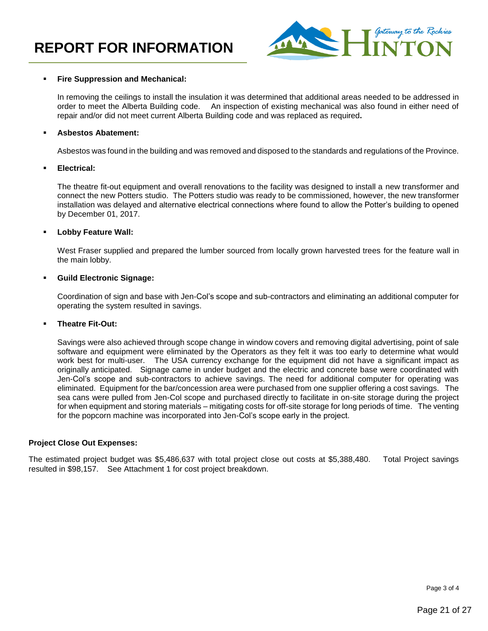

#### **Fire Suppression and Mechanical:**

In removing the ceilings to install the insulation it was determined that additional areas needed to be addressed in order to meet the Alberta Building code. An inspection of existing mechanical was also found in either need of repair and/or did not meet current Alberta Building code and was replaced as required**.**

#### ▪ **Asbestos Abatement:**

Asbestos was found in the building and was removed and disposed to the standards and regulations of the Province.

Electrical:

The theatre fit-out equipment and overall renovations to the facility was designed to install a new transformer and connect the new Potters studio. The Potters studio was ready to be commissioned, however, the new transformer installation was delayed and alternative electrical connections where found to allow the Potter's building to opened by December 01, 2017.

#### **Lobby Feature Wall:**

West Fraser supplied and prepared the lumber sourced from locally grown harvested trees for the feature wall in the main lobby.

#### ▪ **Guild Electronic Signage:**

Coordination of sign and base with Jen-Col's scope and sub-contractors and eliminating an additional computer for operating the system resulted in savings.

#### **Theatre Fit-Out:**

Savings were also achieved through scope change in window covers and removing digital advertising, point of sale software and equipment were eliminated by the Operators as they felt it was too early to determine what would work best for multi-user. The USA currency exchange for the equipment did not have a significant impact as originally anticipated. Signage came in under budget and the electric and concrete base were coordinated with Jen-Col's scope and sub-contractors to achieve savings. The need for additional computer for operating was eliminated. Equipment for the bar/concession area were purchased from one supplier offering a cost savings. The sea cans were pulled from Jen-Col scope and purchased directly to facilitate in on-site storage during the project for when equipment and storing materials – mitigating costs for off-site storage for long periods of time. The venting for the popcorn machine was incorporated into Jen-Col's scope early in the project.

#### **Project Close Out Expenses:**

The estimated project budget was \$5,486,637 with total project close out costs at \$5,388,480. Total Project savings resulted in \$98,157. See Attachment 1 for cost project breakdown.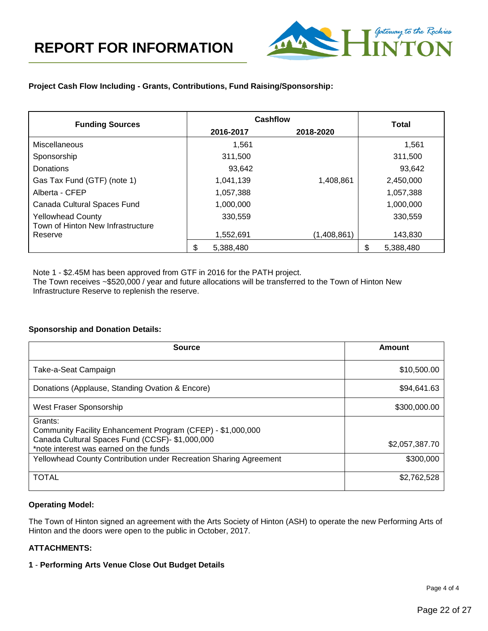

#### **Project Cash Flow Including - Grants, Contributions, Fund Raising/Sponsorship:**

| <b>Funding Sources</b>                       | Cashflow        | <b>Total</b> |           |
|----------------------------------------------|-----------------|--------------|-----------|
|                                              | 2016-2017       | 2018-2020    |           |
| <b>Miscellaneous</b>                         | 1,561           |              | 1,561     |
| Sponsorship                                  | 311,500         |              | 311,500   |
| <b>Donations</b>                             | 93,642          |              | 93,642    |
| Gas Tax Fund (GTF) (note 1)                  | 1,041,139       | 1,408,861    | 2,450,000 |
| Alberta - CFEP                               | 1,057,388       |              | 1,057,388 |
| Canada Cultural Spaces Fund                  | 1,000,000       |              | 1,000,000 |
| <b>Yellowhead County</b>                     | 330,559         |              | 330,559   |
| Town of Hinton New Infrastructure<br>Reserve | 1,552,691       | (1,408,861)  | 143,830   |
|                                              | \$<br>5,388,480 |              | 5,388,480 |

Note 1 - \$2.45M has been approved from GTF in 2016 for the PATH project.

The Town receives ~\$520,000 / year and future allocations will be transferred to the Town of Hinton New Infrastructure Reserve to replenish the reserve.

#### **Sponsorship and Donation Details:**

| <b>Source</b>                                                                                                                                                       | Amount         |
|---------------------------------------------------------------------------------------------------------------------------------------------------------------------|----------------|
| Take-a-Seat Campaign                                                                                                                                                | \$10,500.00    |
| Donations (Applause, Standing Ovation & Encore)                                                                                                                     | \$94,641.63    |
| West Fraser Sponsorship                                                                                                                                             | \$300,000.00   |
| Grants:<br>Community Facility Enhancement Program (CFEP) - \$1,000,000<br>Canada Cultural Spaces Fund (CCSF)- \$1,000,000<br>*note interest was earned on the funds | \$2,057,387.70 |
| <b>Yellowhead County Contribution under Recreation Sharing Agreement</b>                                                                                            | \$300,000      |
| <b>TOTAL</b>                                                                                                                                                        | \$2,762,528    |

#### **Operating Model:**

The Town of Hinton signed an agreement with the Arts Society of Hinton (ASH) to operate the new Performing Arts of Hinton and the doors were open to the public in October, 2017.

#### **ATTACHMENTS:**

#### **1** - **Performing Arts Venue Close Out Budget Details**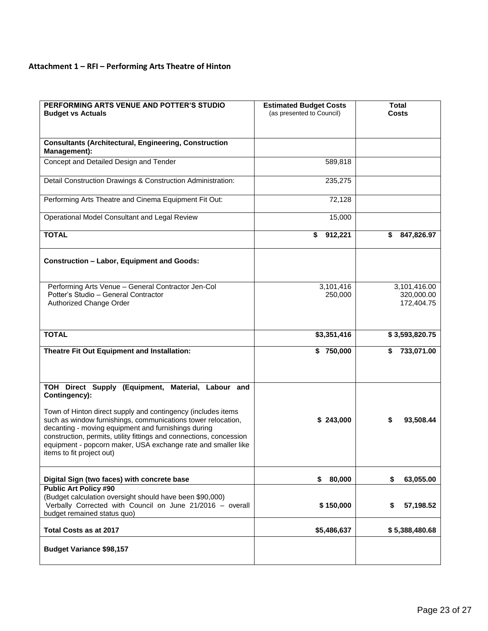# **Attachment 1 – RFI – Performing Arts Theatre of Hinton**

| PERFORMING ARTS VENUE AND POTTER'S STUDIO<br><b>Budget vs Actuals</b>                                                                                                                                                                                                                                                                                                                                                           | <b>Estimated Budget Costs</b><br>(as presented to Council) | <b>Total</b><br><b>Costs</b>             |  |
|---------------------------------------------------------------------------------------------------------------------------------------------------------------------------------------------------------------------------------------------------------------------------------------------------------------------------------------------------------------------------------------------------------------------------------|------------------------------------------------------------|------------------------------------------|--|
| <b>Consultants (Architectural, Engineering, Construction</b><br>Management):                                                                                                                                                                                                                                                                                                                                                    |                                                            |                                          |  |
| Concept and Detailed Design and Tender                                                                                                                                                                                                                                                                                                                                                                                          | 589,818                                                    |                                          |  |
| Detail Construction Drawings & Construction Administration:                                                                                                                                                                                                                                                                                                                                                                     | 235,275                                                    |                                          |  |
| Performing Arts Theatre and Cinema Equipment Fit Out:                                                                                                                                                                                                                                                                                                                                                                           | 72,128                                                     |                                          |  |
| Operational Model Consultant and Legal Review                                                                                                                                                                                                                                                                                                                                                                                   | 15,000                                                     |                                          |  |
| <b>TOTAL</b>                                                                                                                                                                                                                                                                                                                                                                                                                    | 912,221<br>\$                                              | 847,826.97<br>S                          |  |
| <b>Construction - Labor, Equipment and Goods:</b>                                                                                                                                                                                                                                                                                                                                                                               |                                                            |                                          |  |
| Performing Arts Venue - General Contractor Jen-Col<br>Potter's Studio - General Contractor<br>Authorized Change Order                                                                                                                                                                                                                                                                                                           | 3,101,416<br>250,000                                       | 3,101,416.00<br>320,000.00<br>172,404.75 |  |
| <b>TOTAL</b>                                                                                                                                                                                                                                                                                                                                                                                                                    | \$3,351,416                                                | \$3,593,820.75                           |  |
| Theatre Fit Out Equipment and Installation:                                                                                                                                                                                                                                                                                                                                                                                     | \$750,000                                                  | 733,071.00<br>S                          |  |
| TOH Direct Supply (Equipment, Material, Labour and<br>Contingency):<br>Town of Hinton direct supply and contingency (includes items<br>such as window furnishings, communications tower relocation,<br>decanting - moving equipment and furnishings during<br>construction, permits, utility fittings and connections, concession<br>equipment - popcorn maker, USA exchange rate and smaller like<br>items to fit project out) | \$243,000                                                  | 93,508.44<br>S                           |  |
| Digital Sign (two faces) with concrete base                                                                                                                                                                                                                                                                                                                                                                                     | \$<br>80,000                                               | \$<br>63,055.00                          |  |
| <b>Public Art Policy #90</b><br>(Budget calculation oversight should have been \$90,000)<br>Verbally Corrected with Council on June 21/2016 - overall<br>budget remained status quo)                                                                                                                                                                                                                                            | \$150,000                                                  | \$<br>57,198.52                          |  |
| <b>Total Costs as at 2017</b>                                                                                                                                                                                                                                                                                                                                                                                                   | \$5,486,637                                                | \$5,388,480.68                           |  |
| <b>Budget Variance \$98,157</b>                                                                                                                                                                                                                                                                                                                                                                                                 |                                                            |                                          |  |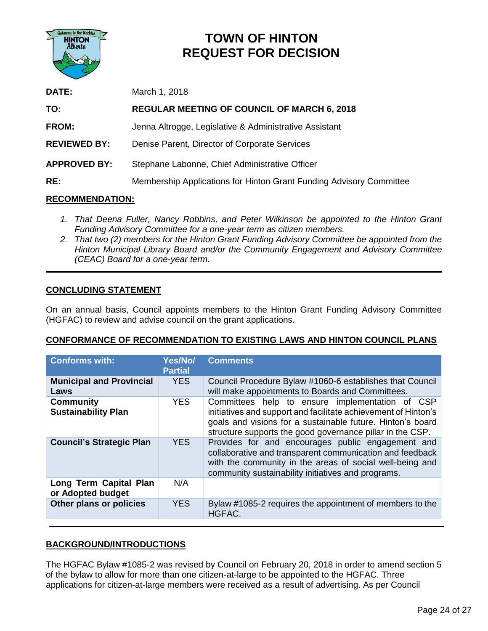

# **TOWN OF HINTON REQUEST FOR DECISION**

| <b>DATE:</b>        | March 1, 2018                                                       |
|---------------------|---------------------------------------------------------------------|
| TO:                 | <b>REGULAR MEETING OF COUNCIL OF MARCH 6, 2018</b>                  |
| <b>FROM:</b>        | Jenna Altrogge, Legislative & Administrative Assistant              |
| <b>REVIEWED BY:</b> | Denise Parent, Director of Corporate Services                       |
| <b>APPROVED BY:</b> | Stephane Labonne, Chief Administrative Officer                      |
| RE:                 | Membership Applications for Hinton Grant Funding Advisory Committee |
|                     |                                                                     |

# **RECOMMENDATION:**

- *1. That Deena Fuller, Nancy Robbins, and Peter Wilkinson be appointed to the Hinton Grant Funding Advisory Committee for a one-year term as citizen members.*
- *2. That two (2) members for the Hinton Grant Funding Advisory Committee be appointed from the Hinton Municipal Library Board and/or the Community Engagement and Advisory Committee (CEAC) Board for a one-year term.*

#### **CONCLUDING STATEMENT**

On an annual basis, Council appoints members to the Hinton Grant Funding Advisory Committee (HGFAC) to review and advise council on the grant applications.

#### **CONFORMANCE OF RECOMMENDATION TO EXISTING LAWS AND HINTON COUNCIL PLANS**

| <b>Conforms with:</b>                          | Yes/No/<br><b>Partial</b> | <b>Comments</b>                                                                                                                                                                                                                              |
|------------------------------------------------|---------------------------|----------------------------------------------------------------------------------------------------------------------------------------------------------------------------------------------------------------------------------------------|
| <b>Municipal and Provincial</b><br>Laws        | <b>YES</b>                | Council Procedure Bylaw #1060-6 establishes that Council<br>will make appointments to Boards and Committees.                                                                                                                                 |
| <b>Community</b><br><b>Sustainability Plan</b> | <b>YES</b>                | Committees help to ensure implementation of CSP<br>initiatives and support and facilitate achievement of Hinton's<br>goals and visions for a sustainable future. Hinton's board<br>structure supports the good governance pillar in the CSP. |
| <b>Council's Strategic Plan</b>                | <b>YES</b>                | Provides for and encourages public engagement and<br>collaborative and transparent communication and feedback<br>with the community in the areas of social well-being and<br>community sustainability initiatives and programs.              |
| Long Term Capital Plan<br>or Adopted budget    | N/A                       |                                                                                                                                                                                                                                              |
| Other plans or policies                        | <b>YES</b>                | Bylaw #1085-2 requires the appointment of members to the<br>HGFAC.                                                                                                                                                                           |

#### **BACKGROUND/INTRODUCTIONS**

The HGFAC Bylaw #1085-2 was revised by Council on February 20, 2018 in order to amend section 5 of the bylaw to allow for more than one citizen-at-large to be appointed to the HGFAC. Three applications for citizen-at-large members were received as a result of advertising. As per Council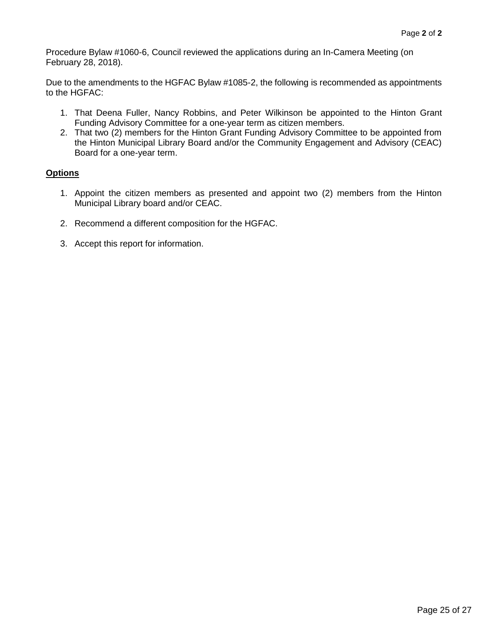Procedure Bylaw #1060-6, Council reviewed the applications during an In-Camera Meeting (on February 28, 2018).

Due to the amendments to the HGFAC Bylaw #1085-2, the following is recommended as appointments to the HGFAC:

- 1. That Deena Fuller, Nancy Robbins, and Peter Wilkinson be appointed to the Hinton Grant Funding Advisory Committee for a one-year term as citizen members.
- 2. That two (2) members for the Hinton Grant Funding Advisory Committee to be appointed from the Hinton Municipal Library Board and/or the Community Engagement and Advisory (CEAC) Board for a one-year term.

## **Options**

- 1. Appoint the citizen members as presented and appoint two (2) members from the Hinton Municipal Library board and/or CEAC.
- 2. Recommend a different composition for the HGFAC.
- 3. Accept this report for information.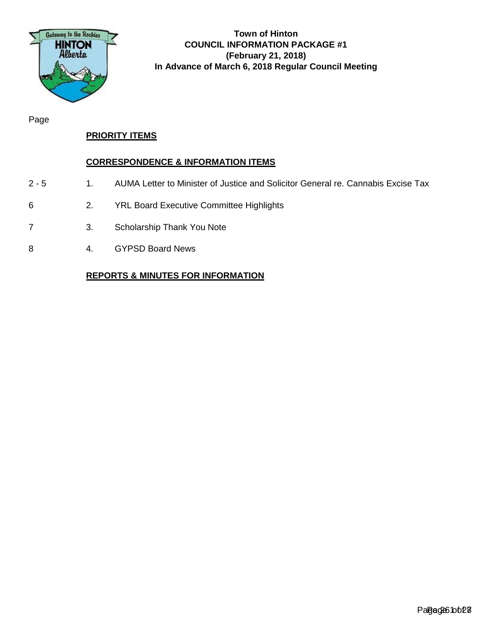

**Town of Hinton COUNCIL INFORMATION PACKAGE #1 (February 21, 2018) In Advance of March 6, 2018 Regular Council Meeting**

Page

# **PRIORITY ITEMS**

# **CORRESPONDENCE & INFORMATION ITEMS**

- 2 5 1. AUMA Letter to Minister of Justice and Solicitor General re. Cannabis Excise Tax
- 6 2. YRL Board Executive Committee Highlights
- 7 3. Scholarship Thank You Note
- 8 4. GYPSD Board News

## **REPORTS & MINUTES FOR INFORMATION**